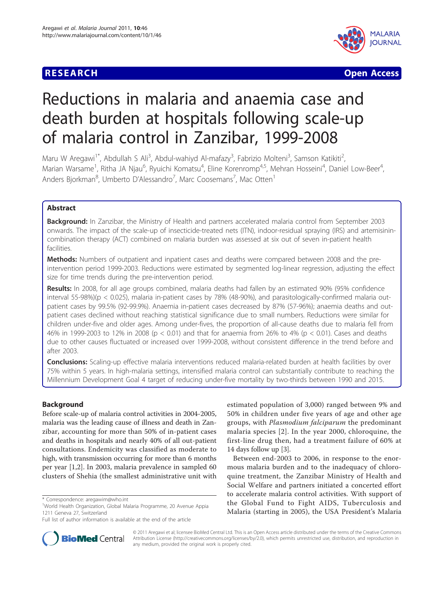## **RESEARCH CONSTRUCTION CONSTRUCTION CONSTRUCTS**



# Reductions in malaria and anaemia case and death burden at hospitals following scale-up of malaria control in Zanzibar, 1999-2008

Maru W Aregawi<sup>1\*</sup>, Abdullah S Ali<sup>3</sup>, Abdul-wahiyd Al-mafazy<sup>3</sup>, Fabrizio Molteni<sup>3</sup>, Samson Katikiti<sup>2</sup> , Marian Warsame<sup>1</sup>, Ritha JA Njau<sup>6</sup>, Ryuichi Komatsu<sup>4</sup>, Eline Korenromp<sup>4,5</sup>, Mehran Hosseini<sup>4</sup>, Daniel Low-Beer<sup>4</sup> , Anders Bjorkman<sup>8</sup>, Umberto D'Alessandro<sup>7</sup>, Marc Coosemans<sup>7</sup>, Mac Otten<sup>1</sup>

## Abstract

Background: In Zanzibar, the Ministry of Health and partners accelerated malaria control from September 2003 onwards. The impact of the scale-up of insecticide-treated nets (ITN), indoor-residual spraying (IRS) and artemisinincombination therapy (ACT) combined on malaria burden was assessed at six out of seven in-patient health facilities.

Methods: Numbers of outpatient and inpatient cases and deaths were compared between 2008 and the preintervention period 1999-2003. Reductions were estimated by segmented log-linear regression, adjusting the effect size for time trends during the pre-intervention period.

Results: In 2008, for all age groups combined, malaria deaths had fallen by an estimated 90% (95% confidence interval 55-98%)(p < 0.025), malaria in-patient cases by 78% (48-90%), and parasitologically-confirmed malaria outpatient cases by 99.5% (92-99.9%). Anaemia in-patient cases decreased by 87% (57-96%); anaemia deaths and outpatient cases declined without reaching statistical significance due to small numbers. Reductions were similar for children under-five and older ages. Among under-fives, the proportion of all-cause deaths due to malaria fell from 46% in 1999-2003 to 12% in 2008 (p < 0.01) and that for anaemia from 26% to 4% (p < 0.01). Cases and deaths due to other causes fluctuated or increased over 1999-2008, without consistent difference in the trend before and after 2003.

Conclusions: Scaling-up effective malaria interventions reduced malaria-related burden at health facilities by over 75% within 5 years. In high-malaria settings, intensified malaria control can substantially contribute to reaching the Millennium Development Goal 4 target of reducing under-five mortality by two-thirds between 1990 and 2015.

## **Background**

Before scale-up of malaria control activities in 2004-2005, malaria was the leading cause of illness and death in Zanzibar, accounting for more than 50% of in-patient cases and deaths in hospitals and nearly 40% of all out-patient consultations. Endemicity was classified as moderate to high, with transmission occurring for more than 6 months per year [\[1](#page-7-0)[,2](#page-8-0)]. In 2003, malaria prevalence in sampled 60 clusters of Shehia (the smallest administrative unit with estimated population of 3,000) ranged between 9% and 50% in children under five years of age and other age groups, with Plasmodium falciparum the predominant malaria species [[2](#page-8-0)]. In the year 2000, chloroquine, the first-line drug then, had a treatment failure of 60% at 14 days follow up [\[3](#page-8-0)].

Between end-2003 to 2006, in response to the enormous malaria burden and to the inadequacy of chloroquine treatment, the Zanzibar Ministry of Health and Social Welfare and partners initiated a concerted effort to accelerate malaria control activities. With support of the Global Fund to Fight AIDS, Tuberculosis and Malaria (starting in 2005), the USA President's Malaria



© 2011 Aregawi et al; licensee BioMed Central Ltd. This is an Open Access article distributed under the terms of the Creative Commons Attribution License [\(http://creativecommons.org/licenses/by/2.0](http://creativecommons.org/licenses/by/2.0)), which permits unrestricted use, distribution, and reproduction in any medium, provided the original work is properly cited.

<sup>\*</sup> Correspondence: [aregawim@who.int](mailto:aregawim@who.int)

<sup>1</sup> World Health Organization, Global Malaria Programme, 20 Avenue Appia 1211 Geneva 27, Switzerland

Full list of author information is available at the end of the article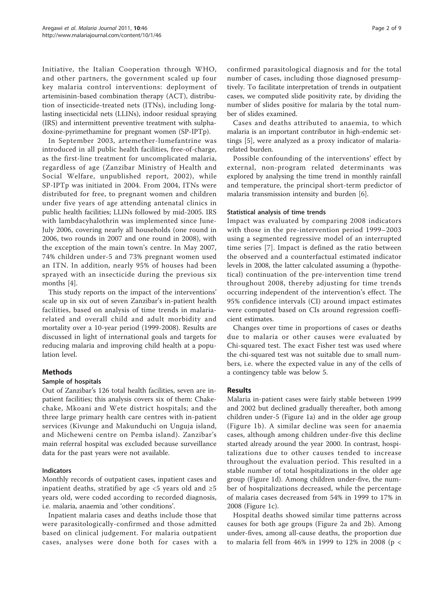Initiative, the Italian Cooperation through WHO, and other partners, the government scaled up four key malaria control interventions: deployment of artemisinin-based combination therapy (ACT), distribution of insecticide-treated nets (ITNs), including longlasting insecticidal nets (LLINs), indoor residual spraying (IRS) and intermittent preventive treatment with sulphadoxine-pyrimethamine for pregnant women (SP-IPTp).

In September 2003, artemether-lumefantrine was introduced in all public health facilities, free-of-charge, as the first-line treatment for uncomplicated malaria, regardless of age (Zanzibar Ministry of Health and Social Welfare, unpublished report, 2002), while SP-IPTp was initiated in 2004. From 2004, ITNs were distributed for free, to pregnant women and children under five years of age attending antenatal clinics in public health facilities; LLINs followed by mid-2005. IRS with lambdacyhalothrin was implemented since June-July 2006, covering nearly all households (one round in 2006, two rounds in 2007 and one round in 2008), with the exception of the main town's centre. In May 2007, 74% children under-5 and 73% pregnant women used an ITN. In addition, nearly 95% of houses had been sprayed with an insecticide during the previous six months [[4\]](#page-8-0).

This study reports on the impact of the interventions' scale up in six out of seven Zanzibar's in-patient health facilities, based on analysis of time trends in malariarelated and overall child and adult morbidity and mortality over a 10-year period (1999-2008). Results are discussed in light of international goals and targets for reducing malaria and improving child health at a population level.

## Methods

## Sample of hospitals

Out of Zanzibar's 126 total health facilities, seven are inpatient facilities; this analysis covers six of them: Chakechake, Mkoani and Wete district hospitals; and the three large primary health care centres with in-patient services (Kivunge and Makunduchi on Unguja island, and Micheweni centre on Pemba island). Zanzibar's main referral hospital was excluded because surveillance data for the past years were not available.

## Indicators

Monthly records of outpatient cases, inpatient cases and inpatient deaths, stratified by age  $<5$  years old and  $\geq5$ years old, were coded according to recorded diagnosis, i.e. malaria, anaemia and 'other conditions'.

Inpatient malaria cases and deaths include those that were parasitologically-confirmed and those admitted based on clinical judgement. For malaria outpatient cases, analyses were done both for cases with a confirmed parasitological diagnosis and for the total number of cases, including those diagnosed presumptively. To facilitate interpretation of trends in outpatient cases, we computed slide positivity rate, by dividing the number of slides positive for malaria by the total number of slides examined.

Cases and deaths attributed to anaemia, to which malaria is an important contributor in high-endemic settings [\[5](#page-8-0)], were analyzed as a proxy indicator of malariarelated burden.

Possible confounding of the interventions' effect by external, non-program related determinants was explored by analysing the time trend in monthly rainfall and temperature, the principal short-term predictor of malaria transmission intensity and burden [\[6](#page-8-0)].

## Statistical analysis of time trends

Impact was evaluated by comparing 2008 indicators with those in the pre-intervention period 1999–2003 using a segmented regressive model of an interrupted time series [[7](#page-8-0)]. Impact is defined as the ratio between the observed and a counterfactual estimated indicator levels in 2008, the latter calculated assuming a (hypothetical) continuation of the pre-intervention time trend throughout 2008, thereby adjusting for time trends occurring independent of the intervention's effect. The 95% confidence intervals (CI) around impact estimates were computed based on CIs around regression coefficient estimates.

Changes over time in proportions of cases or deaths due to malaria or other causes were evaluated by Chi-squared test. The exact Fisher test was used where the chi-squared test was not suitable due to small numbers, i.e. where the expected value in any of the cells of a contingency table was below 5.

## Results

Malaria in-patient cases were fairly stable between 1999 and 2002 but declined gradually thereafter, both among children under-5 (Figure [1a](#page-2-0)) and in the older age group (Figure [1b](#page-2-0)). A similar decline was seen for anaemia cases, although among children under-five this decline started already around the year 2000. In contrast, hospitalizations due to other causes tended to increase throughout the evaluation period. This resulted in a stable number of total hospitalizations in the older age group (Figure [1d](#page-2-0)). Among children under-five, the number of hospitalizations decreased, while the percentage of malaria cases decreased from 54% in 1999 to 17% in 2008 (Figure [1c\)](#page-2-0).

Hospital deaths showed similar time patterns across causes for both age groups (Figure [2a](#page-2-0) and [2b\)](#page-2-0). Among under-fives, among all-cause deaths, the proportion due to malaria fell from 46% in 1999 to 12% in 2008 (p <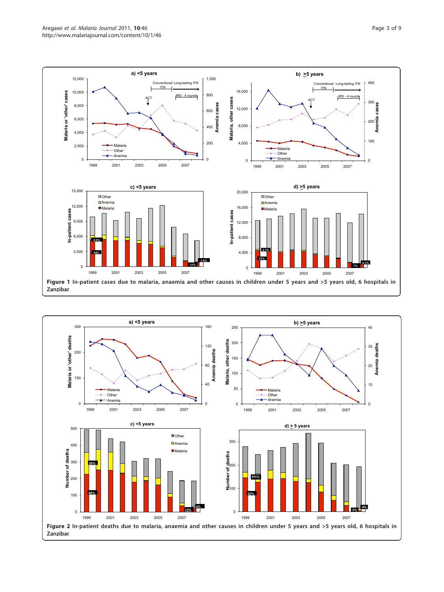<span id="page-2-0"></span>

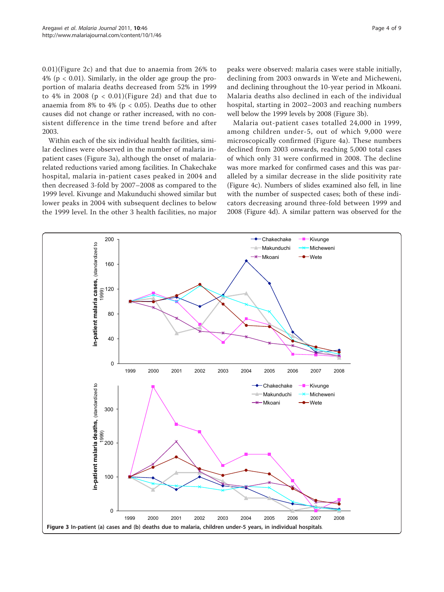0.01)(Figure [2c](#page-2-0)) and that due to anaemia from 26% to  $4\%$  (p < 0.01). Similarly, in the older age group the proportion of malaria deaths decreased from 52% in 1999 to 4% in 2008 ( $p < 0.01$ )(Figure [2d\)](#page-2-0) and that due to anaemia from 8% to 4% ( $p < 0.05$ ). Deaths due to other causes did not change or rather increased, with no consistent difference in the time trend before and after 2003.

Within each of the six individual health facilities, similar declines were observed in the number of malaria inpatient cases (Figure 3a), although the onset of malariarelated reductions varied among facilities. In Chakechake hospital, malaria in-patient cases peaked in 2004 and then decreased 3-fold by 2007–2008 as compared to the 1999 level. Kivunge and Makunduchi showed similar but lower peaks in 2004 with subsequent declines to below the 1999 level. In the other 3 health facilities, no major

peaks were observed: malaria cases were stable initially, declining from 2003 onwards in Wete and Micheweni, and declining throughout the 10-year period in Mkoani. Malaria deaths also declined in each of the individual hospital, starting in 2002–2003 and reaching numbers well below the 1999 levels by 2008 (Figure 3b).

Malaria out-patient cases totalled 24,000 in 1999, among children under-5, out of which 9,000 were microscopically confirmed (Figure [4a\)](#page-4-0). These numbers declined from 2003 onwards, reaching 5,000 total cases of which only 31 were confirmed in 2008. The decline was more marked for confirmed cases and this was paralleled by a similar decrease in the slide positivity rate (Figure [4c](#page-4-0)). Numbers of slides examined also fell, in line with the number of suspected cases; both of these indicators decreasing around three-fold between 1999 and 2008 (Figure [4d](#page-4-0)). A similar pattern was observed for the

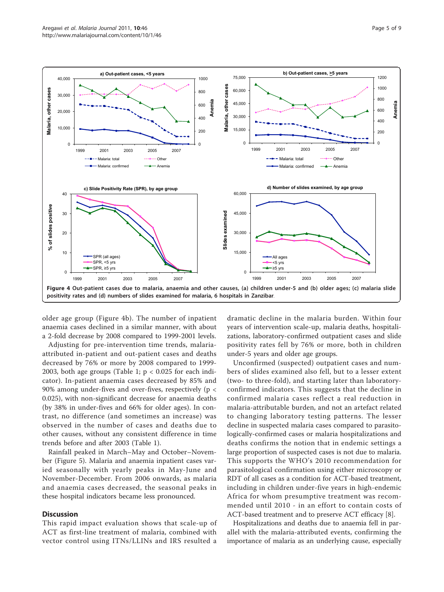<span id="page-4-0"></span>

older age group (Figure 4b). The number of inpatient anaemia cases declined in a similar manner, with about a 2-fold decrease by 2008 compared to 1999-2001 levels.

Adjusting for pre-intervention time trends, malariaattributed in-patient and out-patient cases and deaths decreased by 76% or more by 2008 compared to 1999- 2003, both age groups (Table [1](#page-5-0);  $p < 0.025$  for each indicator). In-patient anaemia cases decreased by 85% and 90% among under-fives and over-fives, respectively (p < 0.025), with non-significant decrease for anaemia deaths (by 38% in under-fives and 66% for older ages). In contrast, no difference (and sometimes an increase) was observed in the number of cases and deaths due to other causes, without any consistent difference in time trends before and after 2003 (Table [1\)](#page-5-0).

Rainfall peaked in March–May and October–November (Figure [5\)](#page-5-0). Malaria and anaemia inpatient cases varied seasonally with yearly peaks in May-June and November-December. From 2006 onwards, as malaria and anaemia cases decreased, the seasonal peaks in these hospital indicators became less pronounced.

#### **Discussion**

This rapid impact evaluation shows that scale-up of ACT as first-line treatment of malaria, combined with vector control using ITNs/LLINs and IRS resulted a

dramatic decline in the malaria burden. Within four years of intervention scale-up, malaria deaths, hospitalizations, laboratory-confirmed outpatient cases and slide positivity rates fell by 76% or more, both in children under-5 years and older age groups.

Unconfirmed (suspected) outpatient cases and numbers of slides examined also fell, but to a lesser extent (two- to three-fold), and starting later than laboratoryconfirmed indicators. This suggests that the decline in confirmed malaria cases reflect a real reduction in malaria-attributable burden, and not an artefact related to changing laboratory testing patterns. The lesser decline in suspected malaria cases compared to parasitologically-confirmed cases or malaria hospitalizations and deaths confirms the notion that in endemic settings a large proportion of suspected cases is not due to malaria. This supports the WHO's 2010 recommendation for parasitological confirmation using either microscopy or RDT of all cases as a condition for ACT-based treatment, including in children under-five years in high-endemic Africa for whom presumptive treatment was recommended until 2010 - in an effort to contain costs of ACT-based treatment and to preserve ACT efficacy [\[8](#page-8-0)].

Hospitalizations and deaths due to anaemia fell in parallel with the malaria-attributed events, confirming the importance of malaria as an underlying cause, especially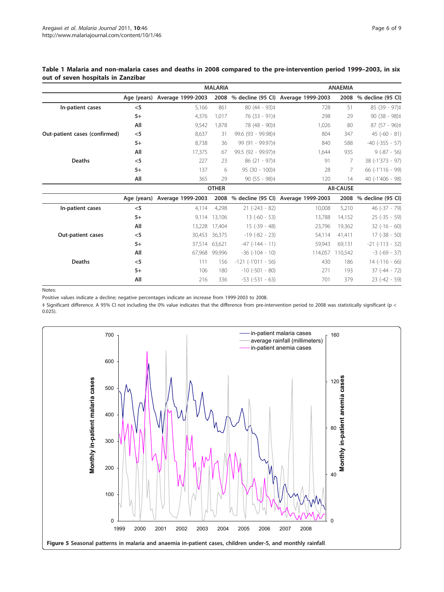## <span id="page-5-0"></span>Table 1 Malaria and non-malaria cases and deaths in 2008 compared to the pre-intervention period 1999–2003, in six out of seven hospitals in Zanzibar

|                               | <b>MALARIA</b> |                               |        |                          | <b>ANAEMIA</b>                      |         |                        |
|-------------------------------|----------------|-------------------------------|--------|--------------------------|-------------------------------------|---------|------------------------|
|                               |                | Age (years) Average 1999-2003 | 2008   |                          | % decline (95 Cl) Average 1999-2003 | 2008    | % decline (95 Cl)      |
| In-patient cases              | $<$ 5          | 5,166                         | 861    | $80(44 - 93)$ $\pm$      | 728                                 | 51      | $85(39 - 97)$ #        |
|                               | $5+$           | 4,376                         | 1.017  | 76 (33 - 91) ‡           | 298                                 | 29      | $90(38 - 98)$ ‡        |
|                               | All            | 9,542                         | 1.878  | 78 (48 - 90) ‡           | 1,026                               | 80      | $87(57 - 96)$          |
| Out-patient cases (confirmed) | $<$ 5          | 8,637                         | 31     | 99.6 (93 - 99.98) ‡      | 804                                 | 347     | $45 (-60 - 81)$        |
|                               | $5+$           | 8,738                         | 36     | 99 (91 - 99.97) ‡        | 840                                 | 588     | $-40$ ( $-355 - 57$ )  |
|                               | All            | 17,375                        | 67     | 99.5 (92 - 99.97)‡       | 1,644                               | 935     | $9(-87 - 56)$          |
| <b>Deaths</b>                 | $<$ 5          | 227                           | 23     | $86(21 - 97)$ #          | 91                                  | 7       | 38 (-1'373 - 97)       |
|                               | $5+$           | 137                           | 6      | $95(30 - 100)$ #         | 28                                  | 7       | 66 (-1'116 - 99)       |
|                               | All            | 365                           | 29     | $90(55 - 98)$ #          | 120                                 | 14      | 40 (-1'406 - 98)       |
|                               |                | <b>OTHER</b>                  |        |                          | <b>AII-CAUSE</b>                    |         |                        |
|                               | Age (years)    | Average 1999-2003             | 2008   |                          | % decline (95 Cl) Average 1999-2003 |         | 2008 % decline (95 CI) |
| In-patient cases              | $<$ 5          | 4,114                         | 4,298  | $21 (-243 - 82)$         | 10,008                              | 5,210   | $46$ ( $-37 - 79$ )    |
|                               | $5+$           | 9.114                         | 13,106 | $13(-60 - 53)$           | 13,788                              | 14,152  | $25 (-35 - 59)$        |
|                               | All            | 13,228                        | 17.404 | $15(-39 - 48)$           | 23,796                              | 19,362  | $32(-16 - 60)$         |
| Out-patient cases             | $<$ 5          | 30,453                        | 36.375 | $-19(-82 - 23)$          | 54,114                              | 41,411  | $17(-38 - 50)$         |
|                               | $5+$           | 37,514                        | 63,621 | $-47$ ( $-144 - 11$ )    | 59,943                              | 69,131  | $-21$ $(-113 - 32)$    |
|                               | All            | 67,968                        | 99.996 | $-36$ $(-104 - 10)$      | 114,057                             | 110.542 | $-3$ ( $-69 - 37$ )    |
| <b>Deaths</b>                 | $<$ 5          | 111                           | 156    | $-121$ ( $-1'011 - 56$ ) | 430                                 | 186     | $14$ ( $-116 - 66$ )   |
|                               | $5+$           | 106                           | 180    | $-10$ ( $-501 - 80$ )    | 271                                 | 193     | $37(-44 - 72)$         |
|                               | All            | 216                           | 336    | $-53$ $(-531 - 63)$      | 701                                 | 379     | $23(-42 - 59)$         |

Notes:

Positive values indicate a decline; negative percentages indicate an increase from 1999-2003 to 2008.

‡ Significant difference. A 95% CI not including the 0% value indicates that the difference from pre-intervention period to 2008 was statistically significant (p < 0.025).

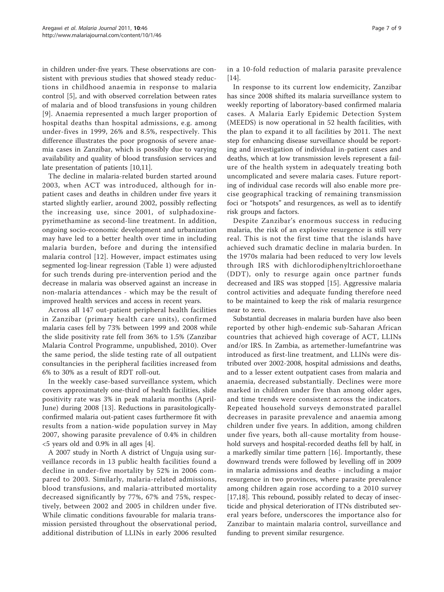in children under-five years. These observations are consistent with previous studies that showed steady reductions in childhood anaemia in response to malaria control [[5\]](#page-8-0), and with observed correlation between rates of malaria and of blood transfusions in young children [[9](#page-8-0)]. Anaemia represented a much larger proportion of hospital deaths than hospital admissions, e.g. among under-fives in 1999, 26% and 8.5%, respectively. This difference illustrates the poor prognosis of severe anaemia cases in Zanzibar, which is possibly due to varying availability and quality of blood transfusion services and late presentation of patients [[10,11](#page-8-0)].

The decline in malaria-related burden started around 2003, when ACT was introduced, although for inpatient cases and deaths in children under five years it started slightly earlier, around 2002, possibly reflecting the increasing use, since 2001, of sulphadoxinepyrimethamine as second-line treatment. In addition, ongoing socio-economic development and urbanization may have led to a better health over time in including malaria burden, before and during the intensified malaria control [\[12\]](#page-8-0). However, impact estimates using segmented log-linear regression (Table [1\)](#page-5-0) were adjusted for such trends during pre-intervention period and the decrease in malaria was observed against an increase in non-malaria attendances - which may be the result of improved health services and access in recent years.

Across all 147 out-patient peripheral health facilities in Zanzibar (primary health care units), confirmed malaria cases fell by 73% between 1999 and 2008 while the slide positivity rate fell from 36% to 1.5% (Zanzibar Malaria Control Programme, unpublished, 2010). Over the same period, the slide testing rate of all outpatient consultancies in the peripheral facilities increased from 6% to 30% as a result of RDT roll-out.

In the weekly case-based surveillance system, which covers approximately one-third of health facilities, slide positivity rate was 3% in peak malaria months (April-June) during 2008 [[13](#page-8-0)]. Reductions in parasitologicallyconfirmed malaria out-patient cases furthermore fit with results from a nation-wide population survey in May 2007, showing parasite prevalence of 0.4% in children <5 years old and 0.9% in all ages [[4\]](#page-8-0).

A 2007 study in North A district of Unguja using surveillance records in 13 public health facilities found a decline in under-five mortality by 52% in 2006 compared to 2003. Similarly, malaria-related admissions, blood transfusions, and malaria-attributed mortality decreased significantly by 77%, 67% and 75%, respectively, between 2002 and 2005 in children under five. While climatic conditions favourable for malaria transmission persisted throughout the observational period, additional distribution of LLINs in early 2006 resulted in a 10-fold reduction of malaria parasite prevalence [[14\]](#page-8-0).

In response to its current low endemicity, Zanzibar has since 2008 shifted its malaria surveillance system to weekly reporting of laboratory-based confirmed malaria cases. A Malaria Early Epidemic Detection System (MEEDS) is now operational in 52 health facilities, with the plan to expand it to all facilities by 2011. The next step for enhancing disease surveillance should be reporting and investigation of individual in-patient cases and deaths, which at low transmission levels represent a failure of the health system in adequately treating both uncomplicated and severe malaria cases. Future reporting of individual case records will also enable more precise geographical tracking of remaining transmission foci or "hotspots" and resurgences, as well as to identify risk groups and factors.

Despite Zanzibar's enormous success in reducing malaria, the risk of an explosive resurgence is still very real. This is not the first time that the islands have achieved such dramatic decline in malaria burden. In the 1970s malaria had been reduced to very low levels through IRS with dichlorodiphenyltrichloroethane (DDT), only to resurge again once partner funds decreased and IRS was stopped [\[15](#page-8-0)]. Aggressive malaria control activities and adequate funding therefore need to be maintained to keep the risk of malaria resurgence near to zero.

Substantial decreases in malaria burden have also been reported by other high-endemic sub-Saharan African countries that achieved high coverage of ACT, LLINs and/or IRS. In Zambia, as artemether-lumefantrine was introduced as first-line treatment, and LLINs were distributed over 2002-2008, hospital admissions and deaths, and to a lesser extent outpatient cases from malaria and anaemia, decreased substantially. Declines were more marked in children under five than among older ages, and time trends were consistent across the indicators. Repeated household surveys demonstrated parallel decreases in parasite prevalence and anaemia among children under five years. In addition, among children under five years, both all-cause mortality from household surveys and hospital-recorded deaths fell by half, in a markedly similar time pattern [[16\]](#page-8-0). Importantly, these downward trends were followed by levelling off in 2009 in malaria admissions and deaths - including a major resurgence in two provinces, where parasite prevalence among children again rose according to a 2010 survey [[17,18\]](#page-8-0). This rebound, possibly related to decay of insecticide and physical deterioration of ITNs distributed several years before, underscores the importance also for Zanzibar to maintain malaria control, surveillance and funding to prevent similar resurgence.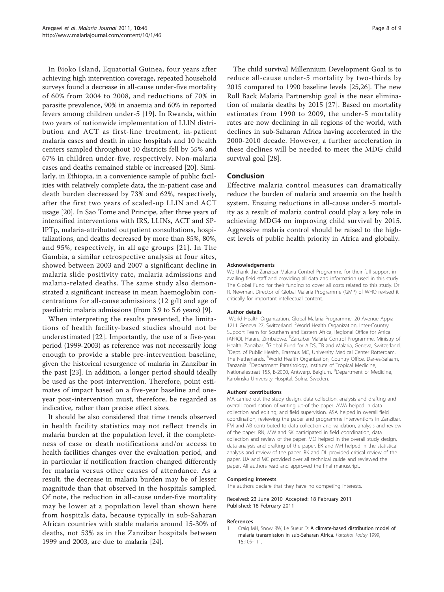<span id="page-7-0"></span>In Bioko Island, Equatorial Guinea, four years after achieving high intervention coverage, repeated household surveys found a decrease in all-cause under-five mortality of 60% from 2004 to 2008, and reductions of 70% in parasite prevalence, 90% in anaemia and 60% in reported fevers among children under-5 [[19](#page-8-0)]. In Rwanda, within two years of nationwide implementation of LLIN distribution and ACT as first-line treatment, in-patient malaria cases and death in nine hospitals and 10 health centers sampled throughout 10 districts fell by 55% and 67% in children under-five, respectively. Non-malaria cases and deaths remained stable or increased [[20\]](#page-8-0). Similarly, in Ethiopia, in a convenience sample of public facilities with relatively complete data, the in-patient case and death burden decreased by 73% and 62%, respectively, after the first two years of scaled-up LLIN and ACT usage [\[20\]](#page-8-0). In Sao Tome and Principe, after three years of intensified interventions with IRS, LLINs, ACT and SP-IPTp, malaria-attributed outpatient consultations, hospitalizations, and deaths decreased by more than 85%, 80%, and 95%, respectively, in all age groups [[21](#page-8-0)]. In The Gambia, a similar retrospective analysis at four sites, showed between 2003 and 2007 a significant decline in malaria slide positivity rate, malaria admissions and malaria-related deaths. The same study also demonstrated a significant increase in mean haemoglobin concentrations for all-cause admissions (12 g/l) and age of paediatric malaria admissions (from 3.9 to 5.6 years) [[9](#page-8-0)].

When interpreting the results presented, the limitations of health facility-based studies should not be underestimated [[22\]](#page-8-0). Importantly, the use of a five-year period (1999-2003) as reference was not necessarily long enough to provide a stable pre-intervention baseline, given the historical resurgence of malaria in Zanzibar in the past [\[23](#page-8-0)]. In addition, a longer period should ideally be used as the post-intervention. Therefore, point estimates of impact based on a five-year baseline and oneyear post-intervention must, therefore, be regarded as indicative, rather than precise effect sizes.

It should be also considered that time trends observed in health facility statistics may not reflect trends in malaria burden at the population level, if the completeness of case or death notifications and/or access to health facilities changes over the evaluation period, and in particular if notification fraction changed differently for malaria versus other causes of attendance. As a result, the decrease in malaria burden may be of lesser magnitude than that observed in the hospitals sampled. Of note, the reduction in all-cause under-five mortality may be lower at a population level than shown here from hospitals data, because typically in sub-Saharan African countries with stable malaria around 15-30% of deaths, not 53% as in the Zanzibar hospitals between 1999 and 2003, are due to malaria [\[24](#page-8-0)].

The child survival Millennium Development Goal is to reduce all-cause under-5 mortality by two-thirds by 2015 compared to 1990 baseline levels [[25](#page-8-0),[26\]](#page-8-0). The new Roll Back Malaria Partnership goal is the near elimination of malaria deaths by 2015 [\[27](#page-8-0)]. Based on mortality estimates from 1990 to 2009, the under-5 mortality rates are now declining in all regions of the world, with declines in sub-Saharan Africa having accelerated in the 2000-2010 decade. However, a further acceleration in these declines will be needed to meet the MDG child survival goal [\[28\]](#page-8-0).

#### Conclusion

Effective malaria control measures can dramatically reduce the burden of malaria and anaemia on the health system. Ensuing reductions in all-cause under-5 mortality as a result of malaria control could play a key role in achieving MDG4 on improving child survival by 2015. Aggressive malaria control should be raised to the highest levels of public health priority in Africa and globally.

#### Acknowledgements

We thank the Zanzibar Malaria Control Programme for their full support in availing field staff and providing all data and information used in this study. The Global Fund for their funding to cover all costs related to this study. Dr R. Newman, Director of Global Malaria Programme (GMP) of WHO revised it critically for important intellectual content.

#### Author details

<sup>1</sup>World Health Organization, Global Malaria Programme, 20 Avenue Appia 1211 Geneva 27, Switzerland. <sup>2</sup>World Health Organization, Inter-Country Support Team for Southern and Eastern Africa, Regional Office for Africa (AFRO), Harare, Zimbabwe. <sup>3</sup>Zanzibar Malaria Control Programme, Ministry of Health, Zanzibar. <sup>4</sup>Global Fund for AIDS, TB and Malaria, Geneva, Switzerland.<br><sup>5</sup>Dopt, of Public Hoalth, Frasmus MC, University Modical Contor Potterdam. <sup>5</sup>Dept. of Public Health, Erasmus MC, University Medical Center Rotterdam, The Netherlands. <sup>6</sup>World Health Organization, Country Office, Dar-es-Salaam, Tanzania. <sup>7</sup>Department Parasitology, Institute of Tropical Medicine, Nationalestraat 155, B-2000, Antwerp, Belgium. <sup>8</sup>Department of Medicine Karolinska University Hospital, Solna, Sweden.

#### Authors' contributions

MA carried out the study design, data collection, analysis and drafting and overall coordination of writing up-of the paper. AWA helped in data collection and editing; and field supervision. ASA helped in overall field coordination, reviewing the paper and programme interventions in Zanzibar. FM and AB contributed to data collection and validation, analysis and review of the paper. RN, MW and SK participated in field coordination, data collection and review of the paper. MO helped in the overall study design, data analysis and drafting of the paper. EK and MH helped in the statistical analysis and review of the paper. RK and DL provided critical review of the paper. UA and MC provided over all technical guide and reviewed the paper. All authors read and approved the final manuscript.

#### Competing interests

The authors declare that they have no competing interests.

Received: 23 June 2010 Accepted: 18 February 2011 Published: 18 February 2011

#### References

Craig MH, Snow RW, Le Sueur D: [A climate-based distribution model of](http://www.ncbi.nlm.nih.gov/pubmed/10322323?dopt=Abstract) [malaria transmission in sub-Saharan Africa.](http://www.ncbi.nlm.nih.gov/pubmed/10322323?dopt=Abstract) Parasitol Today 1999, 15:105-111.